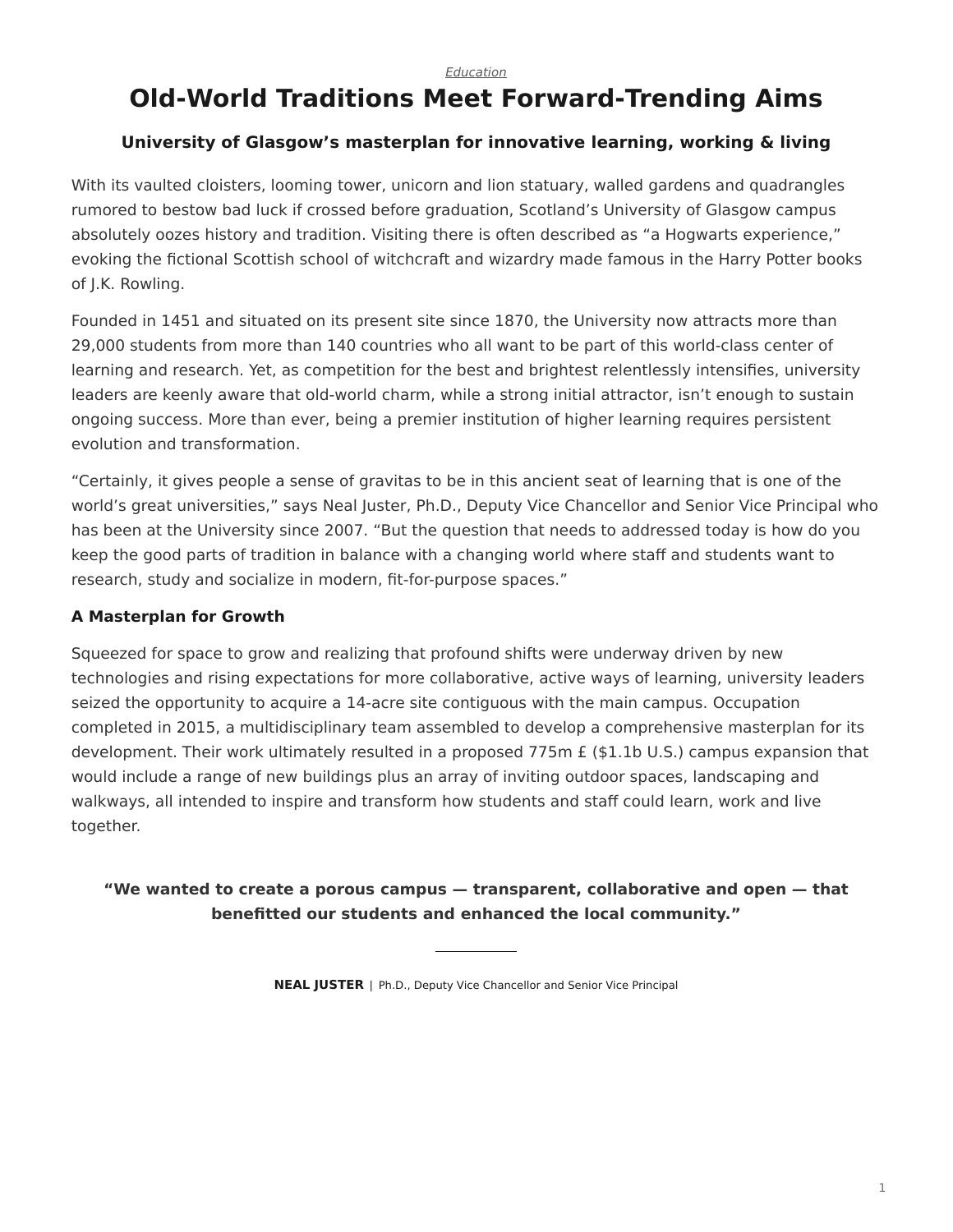#### *[Education](https://www.steelcase.com/research/topics/education/)*

# <span id="page-0-0"></span>**Old-World Traditions Meet Forward-Trending Aims**

## **University of Glasgow's masterplan for innovative learning, working & living**

With its vaulted cloisters, looming tower, unicorn and lion statuary, walled gardens and quadrangles rumored to bestow bad luck if crossed before graduation, Scotland's University of Glasgow campus absolutely oozes history and tradition. Visiting there is often described as "a Hogwarts experience," evoking the fictional Scottish school of witchcraft and wizardry made famous in the Harry Potter books of J.K. Rowling.

Founded in 1451 and situated on its present site since 1870, the University now attracts more than 29,000 students from more than 140 countries who all want to be part of this world-class center of learning and research. Yet, as competition for the best and brightest relentlessly intensifies, university leaders are keenly aware that old-world charm, while a strong initial attractor, isn't enough to sustain ongoing success. More than ever, being a premier institution of higher learning requires persistent evolution and transformation.

"Certainly, it gives people a sense of gravitas to be in this ancient seat of learning that is one of the world's great universities," says Neal Juster, Ph.D., Deputy Vice Chancellor and Senior Vice Principal who has been at the University since 2007. "But the question that needs to addressed today is how do you keep the good parts of tradition in balance with a changing world where staff and students want to research, study and socialize in modern, fit-for-purpose spaces."

### **A Masterplan for Growth**

Squeezed for space to grow and realizing that profound shifts were underway driven by new technologies and rising expectations for more collaborative, active ways of learning, university leaders seized the opportunity to acquire a 14-acre site contiguous with the main campus. Occupation completed in 2015, a multidisciplinary team assembled to develop a comprehensive masterplan for its development. Their work ultimately resulted in a proposed 775m £ (\$1.1b U.S.) campus expansion that would include a range of new buildings plus an array of inviting outdoor spaces, landscaping and walkways, all intended to inspire and transform how students and staff could learn, work and live together.

**"We wanted to create a porous campus — transparent, collaborative and open — that benefitted our students and enhanced the local community."**

**NEAL JUSTER** | Ph.D., Deputy Vice Chancellor and Senior Vice Principal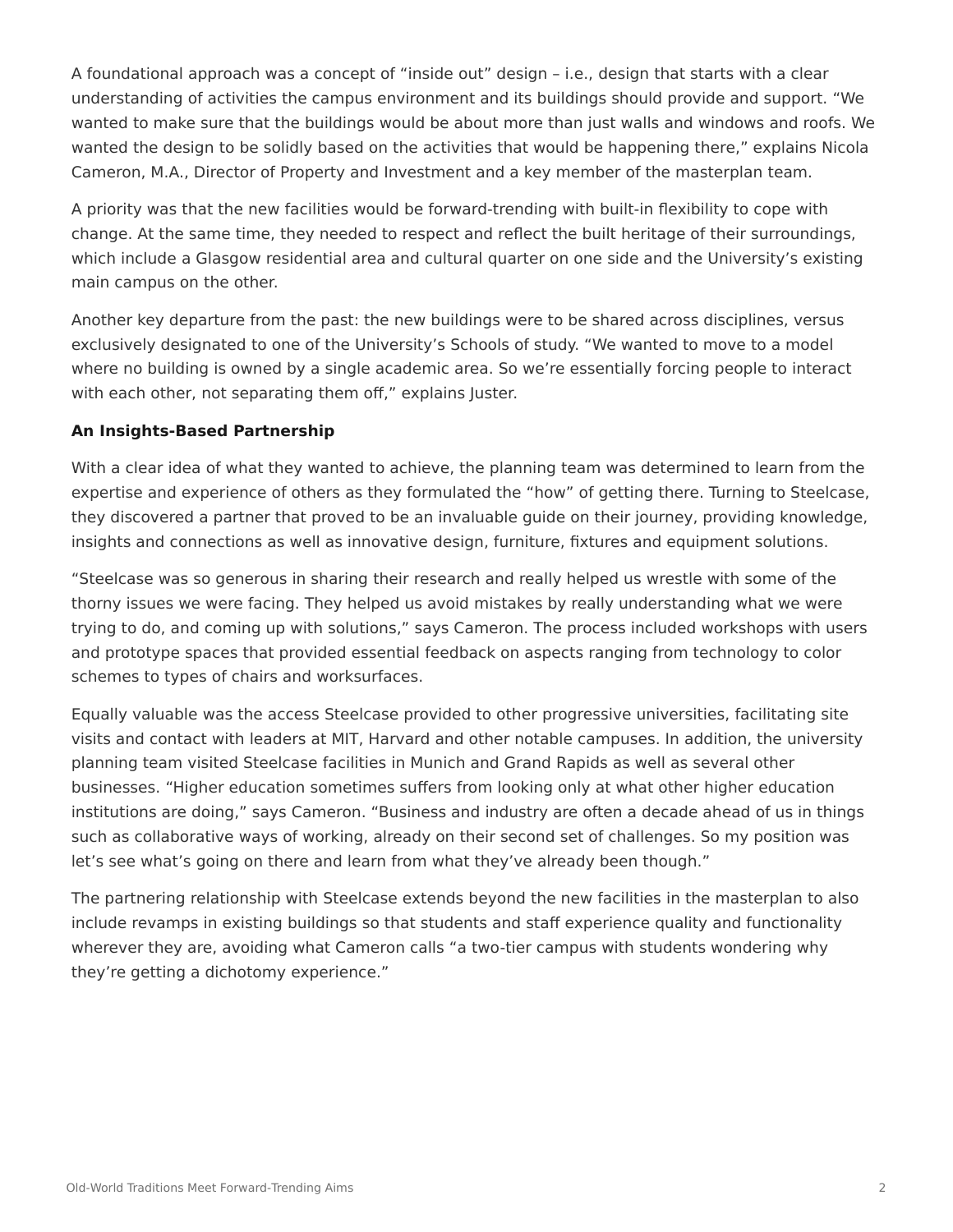A foundational approach was a concept of "inside out" design – i.e., design that starts with a clear understanding of activities the campus environment and its buildings should provide and support. "We wanted to make sure that the buildings would be about more than just walls and windows and roofs. We wanted the design to be solidly based on the activities that would be happening there," explains Nicola Cameron, M.A., Director of Property and Investment and a key member of the masterplan team.

A priority was that the new facilities would be forward-trending with built-in flexibility to cope with change. At the same time, they needed to respect and reflect the built heritage of their surroundings, which include a Glasgow residential area and cultural quarter on one side and the University's existing main campus on the other.

Another key departure from the past: the new buildings were to be shared across disciplines, versus exclusively designated to one of the University's Schools of study. "We wanted to move to a model where no building is owned by a single academic area. So we're essentially forcing people to interact with each other, not separating them off," explains Juster.

#### **An Insights-Based Partnership**

With a clear idea of what they wanted to achieve, the planning team was determined to learn from the expertise and experience of others as they formulated the "how" of getting there. Turning to Steelcase, they discovered a partner that proved to be an invaluable guide on their journey, providing knowledge, insights and connections as well as innovative design, furniture, fixtures and equipment solutions.

"Steelcase was so generous in sharing their research and really helped us wrestle with some of the thorny issues we were facing. They helped us avoid mistakes by really understanding what we were trying to do, and coming up with solutions," says Cameron. The process included workshops with users and prototype spaces that provided essential feedback on aspects ranging from technology to color schemes to types of chairs and worksurfaces.

Equally valuable was the access Steelcase provided to other progressive universities, facilitating site visits and contact with leaders at MIT, Harvard and other notable campuses. In addition, the university planning team visited Steelcase facilities in Munich and Grand Rapids as well as several other businesses. "Higher education sometimes suffers from looking only at what other higher education institutions are doing," says Cameron. "Business and industry are often a decade ahead of us in things such as collaborative ways of working, already on their second set of challenges. So my position was let's see what's going on there and learn from what they've already been though."

The partnering relationship with Steelcase extends beyond the new facilities in the masterplan to also include revamps in existing buildings so that students and staff experience quality and functionality wherever they are, avoiding what Cameron calls "a two-tier campus with students wondering why they're getting a dichotomy experience."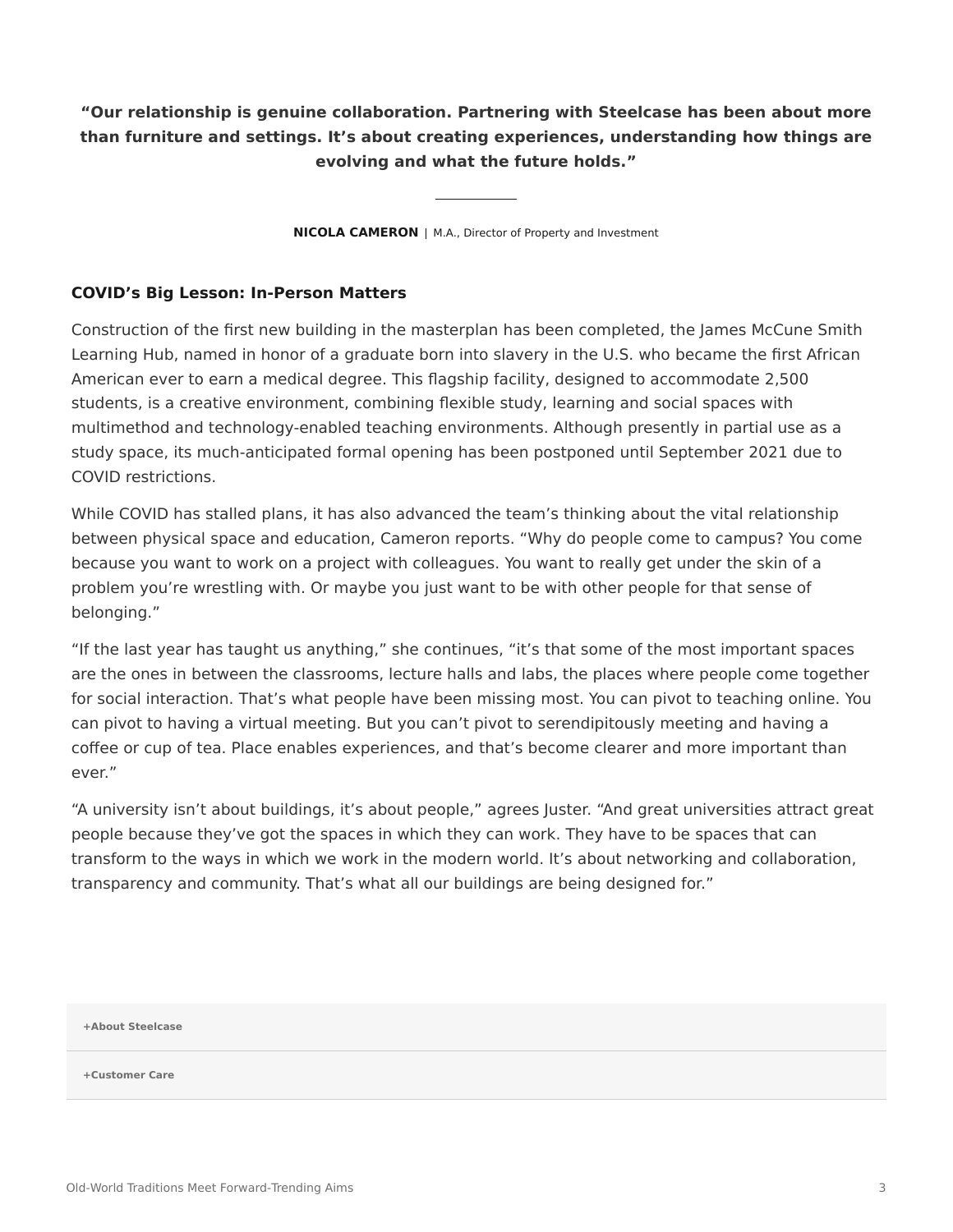**"Our relationship is genuine collaboration. Partnering with Steelcase has been about more than furniture and settings. It's about creating experiences, understanding how things are evolving and what the future holds."**

**NICOLA CAMERON** | M.A., Director of Property and Investment

#### **COVID's Big Lesson: In-Person Matters**

Construction of the first new building in the masterplan has been completed, the James McCune Smith Learning Hub, named in honor of a graduate born into slavery in the U.S. who became the first African American ever to earn a medical degree. This flagship facility, designed to accommodate 2,500 students, is a creative environment, combining flexible study, learning and social spaces with multimethod and technology-enabled teaching environments. Although presently in partial use as a study space, its much-anticipated formal opening has been postponed until September 2021 due to COVID restrictions.

While COVID has stalled plans, it has also advanced the team's thinking about the vital relationship between physical space and education, Cameron reports. "Why do people come to campus? You come because you want to work on a project with colleagues. You want to really get under the skin of a problem you're wrestling with. Or maybe you just want to be with other people for that sense of belonging."

"If the last year has taught us anything," she continues, "it's that some of the most important spaces are the ones in between the classrooms, lecture halls and labs, the places where people come together for social interaction. That's what people have been missing most. You can pivot to teaching online. You can pivot to having a virtual meeting. But you can't pivot to serendipitously meeting and having a coffee or cup of tea. Place enables experiences, and that's become clearer and more important than ever."

"A university isn't about buildings, it's about people," agrees Juster. "And great universities attract great people because they've got the spaces in which they can work. They have to be spaces that can transform to the ways in which we work in the modern world. It's about networking and collaboration, transparency and community. That's what all our buildings are being designed for."

**[+About Steelcase](https://www.steelcase.com/discover/steelcase/our-company/)**

**[+Customer Care](#page-0-0)**